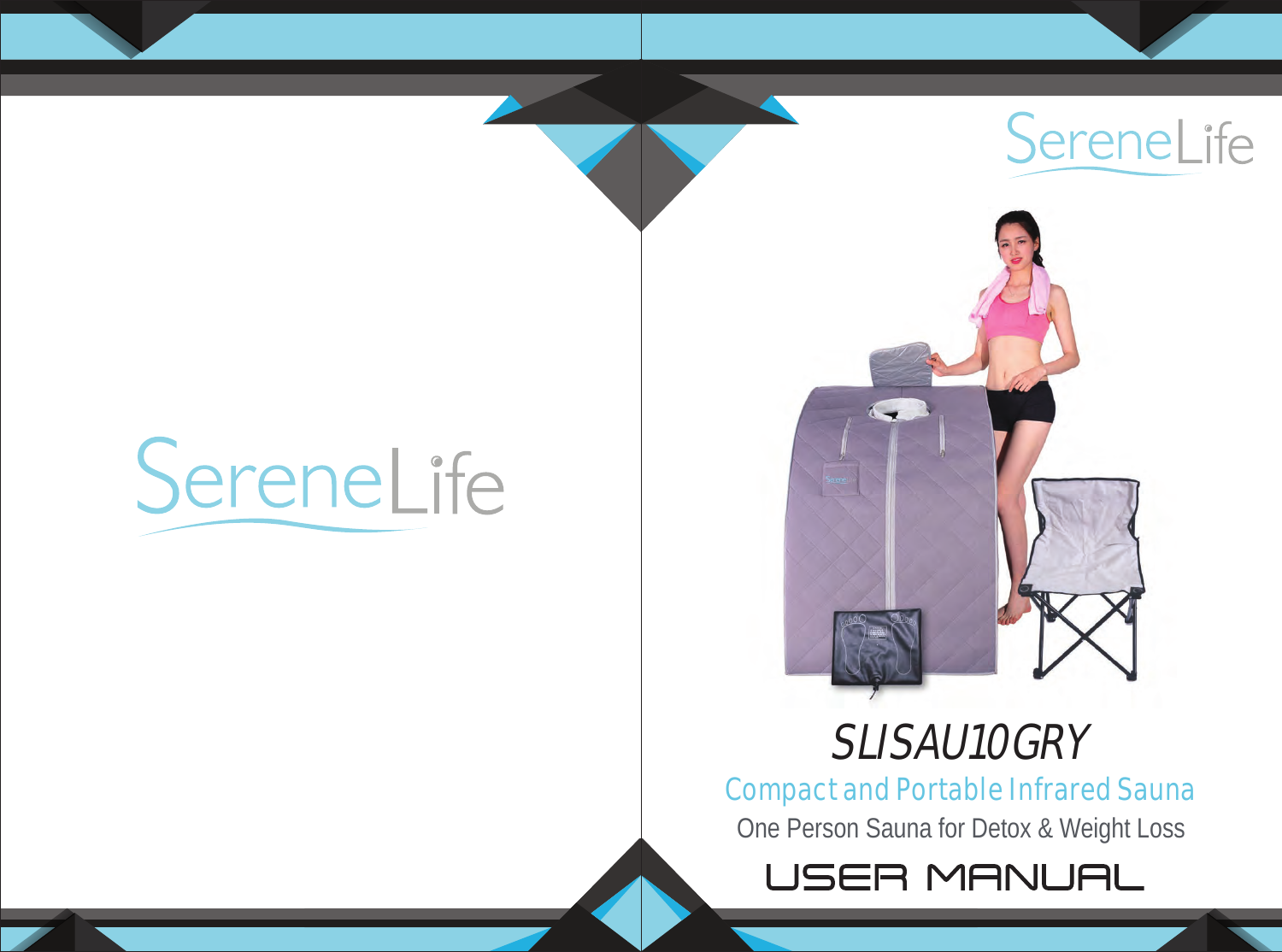# SereneLife



# SLISAU10GRY

 $\sqrt{2}$ 

Compact and Portable Infrared Sauna

One Person Sauna for Detox & Weight Loss

USER MANUAL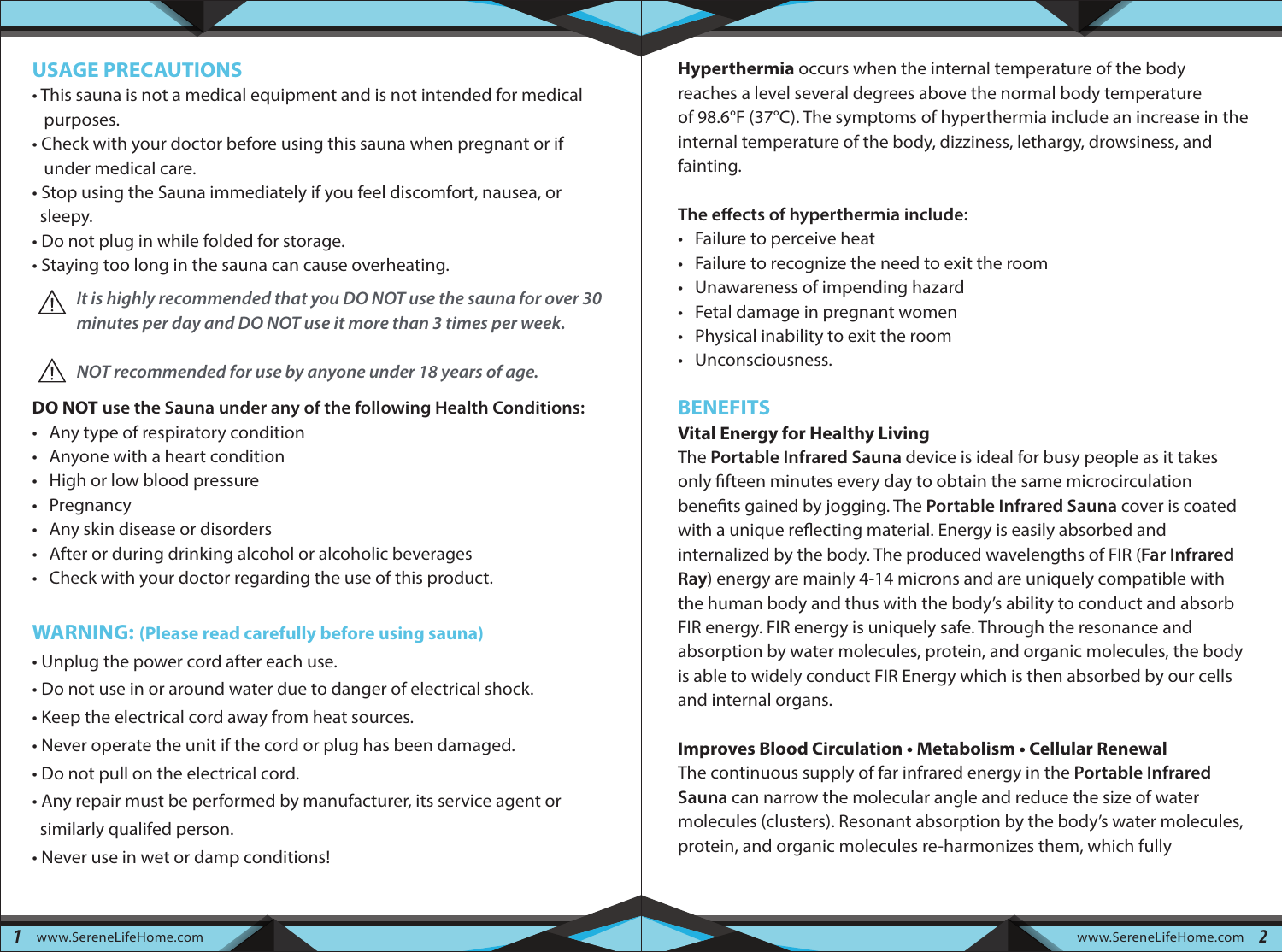#### **USAGE PRECAUTIONS**

- This sauna is not a medical equipment and is not intended for medical purposes.
- Check with your doctor before using this sauna when pregnant or if under medical care.
- Stop using the Sauna immediately if you feel discomfort, nausea, or sleepy.
- Do not plug in while folded for storage.
- Staying too long in the sauna can cause overheating.
- *It is highly recommended that you DO NOT use the sauna for over 30 minutes per day and DO NOT use it more than 3 times per week.*

 *NOT recommended for use by anyone under 18 years of age.*

#### **DO NOT use the Sauna under any of the following Health Conditions:**

- Any type of respiratory condition
- Anyone with a heart condition
- High or low blood pressure
- Pregnancy
- Any skin disease or disorders
- After or during drinking alcohol or alcoholic beverages
- Check with your doctor regarding the use of this product.

#### **WARNING: (Please read carefully before using sauna)**

- Unplug the power cord after each use.
- Do not use in or around water due to danger of electrical shock.
- Keep the electrical cord away from heat sources.
- Never operate the unit if the cord or plug has been damaged.
- Do not pull on the electrical cord.
- Any repair must be performed by manufacturer, its service agent or similarly qualifed person.
- Never use in wet or damp conditions!

**Hyperthermia** occurs when the internal temperature of the body reaches a level several degrees above the normal body temperature of 98.6°F (37°C). The symptoms of hyperthermia include an increase in the internal temperature of the body, dizziness, lethargy, drowsiness, and fainting.

#### The effects of hyperthermia include:

- Failure to perceive heat
- Failure to recognize the need to exit the room
- Unawareness of impending hazard
- Fetal damage in pregnant women
- Physical inability to exit the room
- Unconsciousness.

#### **BENEFITS**

#### **Vital Energy for Healthy Living**

The **Portable Infrared Sauna** device is ideal for busy people as it takes only fifteen minutes every day to obtain the same microcirculation benefits gained by jogging. The **Portable Infrared Sauna** cover is coated with a unique reflecting material. Energy is easily absorbed and internalized by the body. The produced wavelengths of FIR (**Far Infrared Ray**) energy are mainly 4-14 microns and are uniquely compatible with the human body and thus with the body's ability to conduct and absorb FIR energy. FIR energy is uniquely safe. Through the resonance and absorption by water molecules, protein, and organic molecules, the body is able to widely conduct FIR Energy which is then absorbed by our cells and internal organs.

#### **Improves Blood Circulation • Metabolism • Cellular Renewal**

The continuous supply of far infrared energy in the **Portable Infrared Sauna** can narrow the molecular angle and reduce the size of water molecules (clusters). Resonant absorption by the body's water molecules, protein, and organic molecules re-harmonizes them, which fully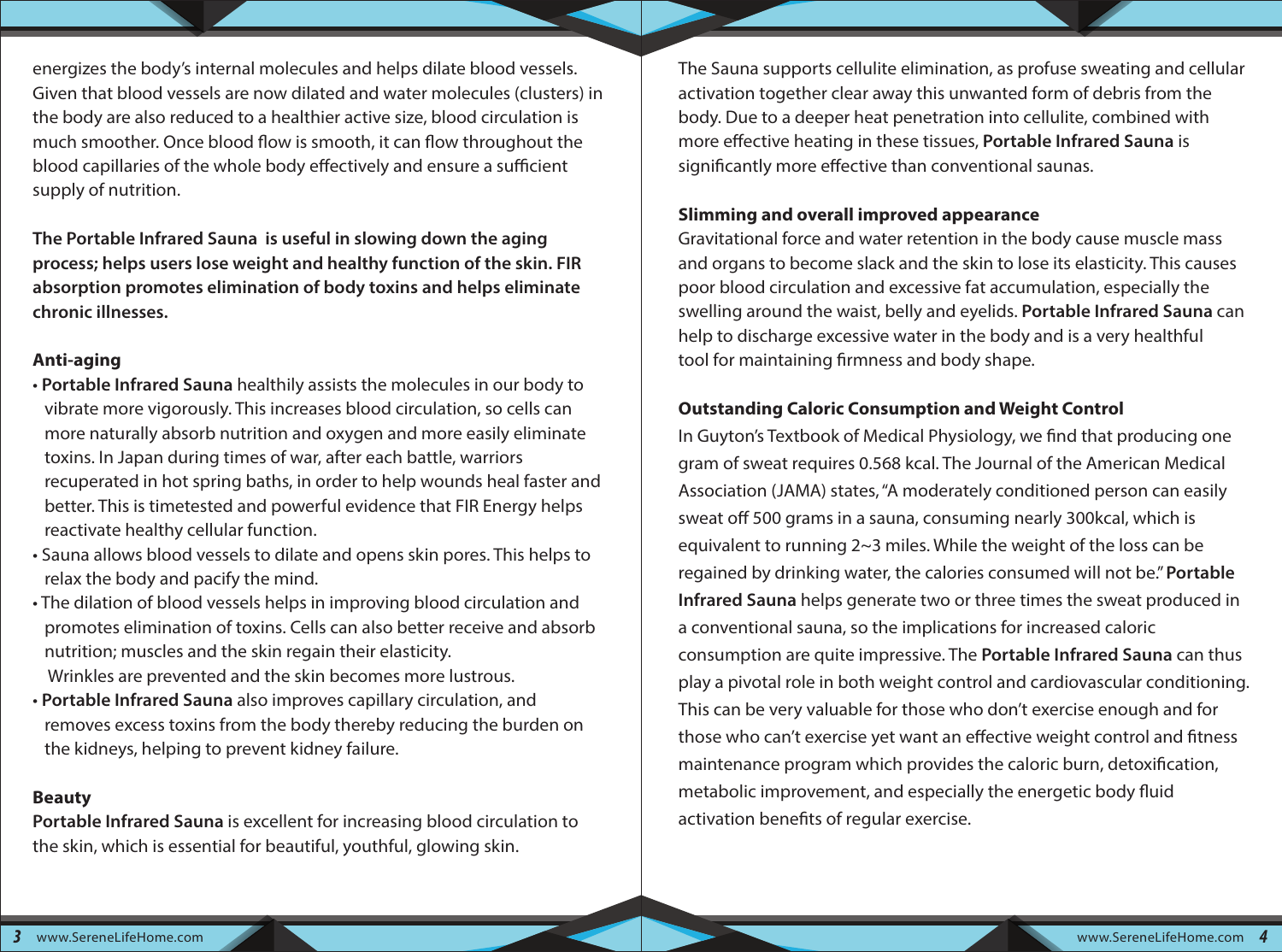energizes the body's internal molecules and helps dilate blood vessels. Given that blood vessels are now dilated and water molecules (clusters) in the body are also reduced to a healthier active size, blood circulation is much smoother. Once blood flow is smooth, it can flow throughout the blood capillaries of the whole body effectively and ensure a sufficient supply of nutrition.

**The Portable Infrared Sauna is useful in slowing down the aging process; helps users lose weight and healthy function of the skin. FIR absorption promotes elimination of body toxins and helps eliminate chronic illnesses.**

#### **Anti-aging**

- **Portable Infrared Sauna** healthily assists the molecules in our body to vibrate more vigorously. This increases blood circulation, so cells can more naturally absorb nutrition and oxygen and more easily eliminate toxins. In Japan during times of war, after each battle, warriors recuperated in hot spring baths, in order to help wounds heal faster and better. This is timetested and powerful evidence that FIR Energy helps reactivate healthy cellular function.
- Sauna allows blood vessels to dilate and opens skin pores. This helps to relax the body and pacify the mind.
- The dilation of blood vessels helps in improving blood circulation and promotes elimination of toxins. Cells can also better receive and absorb nutrition; muscles and the skin regain their elasticity. Wrinkles are prevented and the skin becomes more lustrous.
- **Portable Infrared Sauna** also improves capillary circulation, and removes excess toxins from the body thereby reducing the burden on the kidneys, helping to prevent kidney failure.

#### **Beauty**

**Portable Infrared Sauna** is excellent for increasing blood circulation to the skin, which is essential for beautiful, youthful, glowing skin.

The Sauna supports cellulite elimination, as profuse sweating and cellular activation together clear away this unwanted form of debris from the body. Due to a deeper heat penetration into cellulite, combined with more effective heating in these tissues, **Portable Infrared Sauna** is significantly more effective than conventional saunas.

#### **Slimming and overall improved appearance**

Gravitational force and water retention in the body cause muscle mass and organs to become slack and the skin to lose its elasticity. This causes poor blood circulation and excessive fat accumulation, especially the swelling around the waist, belly and eyelids. **Portable Infrared Sauna** can help to discharge excessive water in the body and is a very healthful tool for maintaining firmness and body shape.

#### **Outstanding Caloric Consumption and Weight Control**

In Guyton's Textbook of Medical Physiology, we find that producing one gram of sweat requires 0.568 kcal. The Journal of the American Medical Association (JAMA) states, "A moderately conditioned person can easily sweat off 500 grams in a sauna, consuming nearly 300kcal, which is equivalent to running 2~3 miles. While the weight of the loss can be regained by drinking water, the calories consumed will not be." **Portable Infrared Sauna** helps generate two or three times the sweat produced in a conventional sauna, so the implications for increased caloric consumption are quite impressive. The **Portable Infrared Sauna** can thus play a pivotal role in both weight control and cardiovascular conditioning. This can be very valuable for those who don't exercise enough and for those who can't exercise yet want an effective weight control and fitness maintenance program which provides the caloric burn, detoxification, metabolic improvement, and especially the energetic body fluid activation benefits of regular exercise.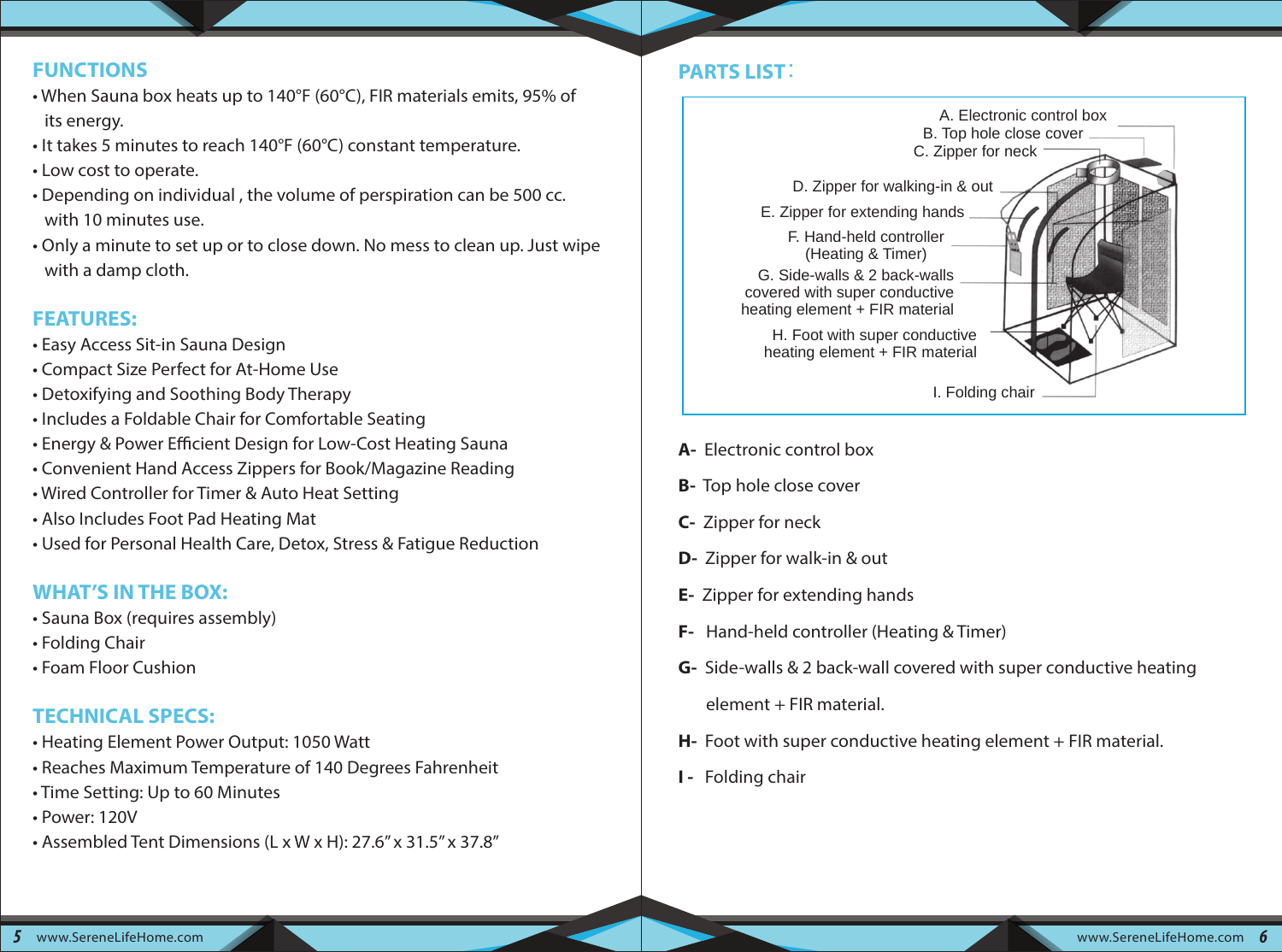#### **FUNCTIONS**

- When Sauna box heats up to 140°F (60°C), FIR materials emits, 95% of its energy.
- It takes 5 minutes to reach 140°F (60°C) constant temperature.
- Low cost to operate.
- Depending on individual , the volume of perspiration can be 500 cc. with 10 minutes use.
- Only a minute to set up or to close down. No mess to clean up. Just wipe with a damp cloth.

# **FEATURES:**

- Easy Access Sit-in Sauna Design
- Compact Size Perfect for At-Home Use
- Detoxifying and Soothing Body Therapy
- Includes a Foldable Chair for Comfortable Seating
- Energy & Power Efficient Design for Low-Cost Heating Sauna
- Convenient Hand Access Zippers for Book/Magazine Reading
- Wired Controller for Timer & Auto Heat Setting
- Also Includes Foot Pad Heating Mat
- Used for Personal Health Care, Detox, Stress & Fatigue Reduction

# **WHAT'S IN THE BOX:**

- Sauna Box (requires assembly)
- Folding Chair
- Foam Floor Cushion

# **TECHNICAL SPECS:**

- Heating Element Power Output: 1050 Watt
- Reaches Maximum Temperature of 140 Degrees Fahrenheit
- Time Setting: Up to 60 Minutes
- Power: 120V
- Assembled Tent Dimensions (L x W x H): 27.6'' x 31.5'' x 37.8''

# **PARTS LIST**:



- **A-** Electronic control box
- **B-** Top hole close cover
- **C-** Zipper for neck
- **D-** Zipper for walk-in & out
- **E-** Zipper for extending hands
- **F-** Hand-held controller (Heating & Timer)
- **G-** Side-walls & 2 back-wall covered with super conductive heating element + FIR material.
- **H-** Foot with super conductive heating element + FIR material.
- **I** Folding chair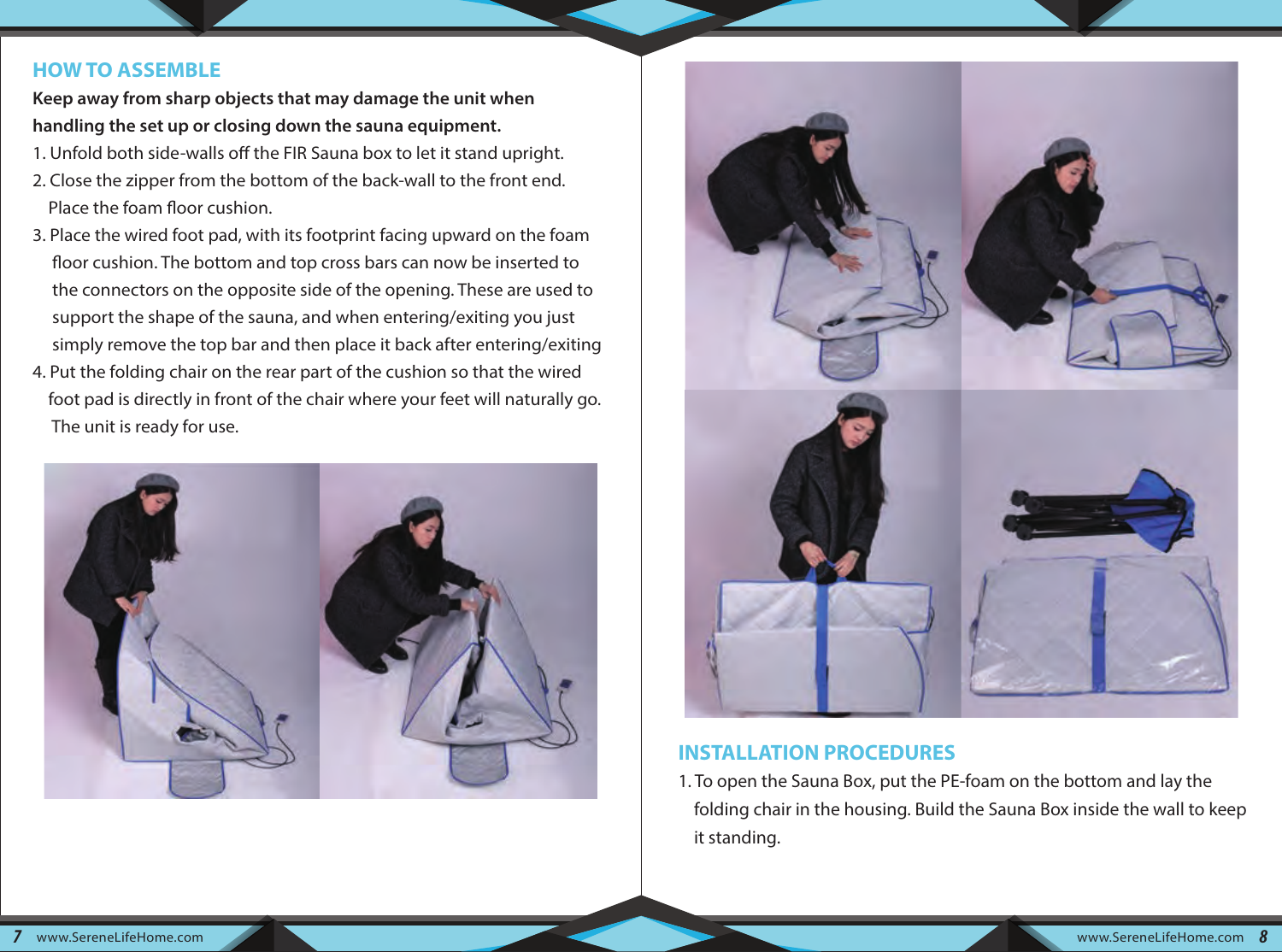#### **HOW TO ASSEMBLE**

**Keep away from sharp objects that may damage the unit when handling the set up or closing down the sauna equipment.**

- 1. Unfold both side-walls off the FIR Sauna box to let it stand upright.
- 2. Close the zipper from the bottom of the back-wall to the front end. Place the foam floor cushion.
- 3. Place the wired foot pad, with its footprint facing upward on the foam floor cushion. The bottom and top cross bars can now be inserted to the connectors on the opposite side of the opening. These are used to support the shape of the sauna, and when entering/exiting you just simply remove the top bar and then place it back after entering/exiting
- 4. Put the folding chair on the rear part of the cushion so that the wired foot pad is directly in front of the chair where your feet will naturally go. The unit is ready for use.





#### **INSTALLATION PROCEDURES**

1. To open the Sauna Box, put the PE-foam on the bottom and lay the folding chair in the housing. Build the Sauna Box inside the wall to keep it standing.